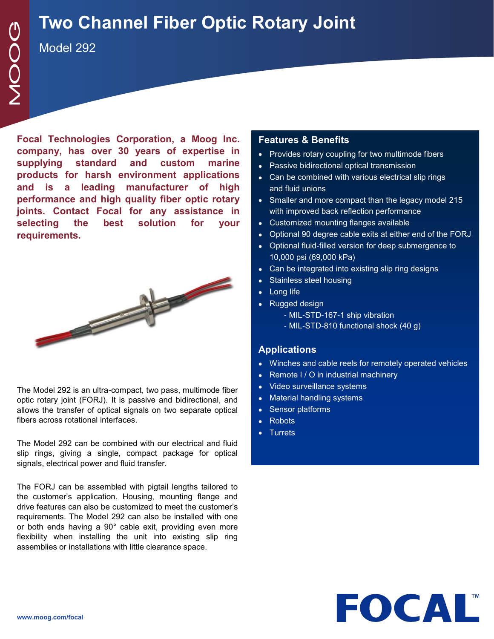## **Two Channel Fiber Optic Rotary Joint**

Model 292

**Focal Technologies Corporation, a Moog Inc. company, has over 30 years of expertise in supplying standard and custom marine products for harsh environment applications and is a leading manufacturer of high performance and high quality fiber optic rotary joints. Contact Focal for any assistance in selecting the best solution for your requirements.**



The Model 292 is an ultra-compact, two pass, multimode fiber optic rotary joint (FORJ). It is passive and bidirectional, and allows the transfer of optical signals on two separate optical fibers across rotational interfaces.

The Model 292 can be combined with our electrical and fluid slip rings, giving a single, compact package for optical signals, electrical power and fluid transfer.

The FORJ can be assembled with pigtail lengths tailored to the customer's application. Housing, mounting flange and drive features can also be customized to meet the customer's requirements. The Model 292 can also be installed with one or both ends having a 90° cable exit, providing even more flexibility when installing the unit into existing slip ring assemblies or installations with little clearance space.

## **Features & Benefits**

- Provides rotary coupling for two multimode fibers
- Passive bidirectional optical transmission
- Can be combined with various electrical slip rings and fluid unions
- Smaller and more compact than the legacy model 215 with improved back reflection performance
- Customized mounting flanges available
- Optional 90 degree cable exits at either end of the FORJ
- Optional fluid-filled version for deep submergence to 10,000 psi (69,000 kPa)
- Can be integrated into existing slip ring designs
- Stainless steel housing
- Long life
- Rugged design
	- MIL-STD-167-1 ship vibration
	- MIL-STD-810 functional shock (40 g)

## **Applications**

- Winches and cable reels for remotely operated vehicles
- Remote I / O in industrial machinery
- Video surveillance systems
- Material handling systems
- Sensor platforms
- Robots
- Turrets